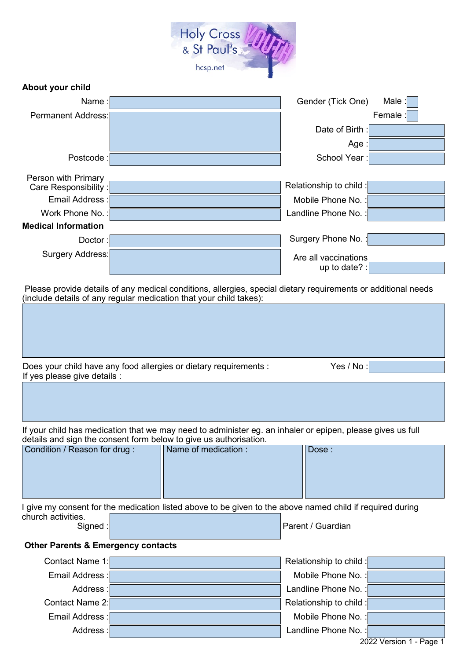

| Name:                      |  | Gender (Tick One)       | Male    |  |  |
|----------------------------|--|-------------------------|---------|--|--|
| Permanent Address:         |  |                         | Female: |  |  |
|                            |  | Date of Birth:          |         |  |  |
|                            |  | Age                     |         |  |  |
| Postcode:                  |  | School Year:            |         |  |  |
| Person with Primary        |  |                         |         |  |  |
| Care Responsibility :      |  | Relationship to child : |         |  |  |
| Email Address :            |  | Mobile Phone No.:       |         |  |  |
| Work Phone No.:            |  | Landline Phone No.:     |         |  |  |
| <b>Medical Information</b> |  |                         |         |  |  |
| Doctor:                    |  | Surgery Phone No.:      |         |  |  |
| Surgery Address:           |  | Are all vaccinations    |         |  |  |
|                            |  | up to date? :           |         |  |  |

Please provide details of any medical conditions, allergies, special dietary requirements or additional needs (include details of any regular medication that your child takes):

| Does your child have any food allergies or dietary requirements :<br>If yes please give details : | Yes / No: |
|---------------------------------------------------------------------------------------------------|-----------|

If your child has medication that we may need to administer eg. an inhaler or epipen, please gives us full details and sign the consent form below to give us authorisation.

| Condition / Reason for drug: | Name of medication : | Dose: |
|------------------------------|----------------------|-------|
|                              |                      |       |
|                              |                      |       |
|                              |                      |       |

I give my consent for the medication listed above to be given to the above named child if required during church activities.

**About your child**

Parent / Guardian

# **Other Parents & Emergency contacts**

| Contact Name 1: | Relationship to child : |
|-----------------|-------------------------|
| Email Address : | Mobile Phone No.:       |
| Address:        | Landline Phone No. :    |
| Contact Name 2: | Relationship to child : |
| Email Address : | Mobile Phone No.:       |
| Address:        | Landline Phone No. :    |
|                 | 0.0001                  |

2022 Version 1 - Page 1